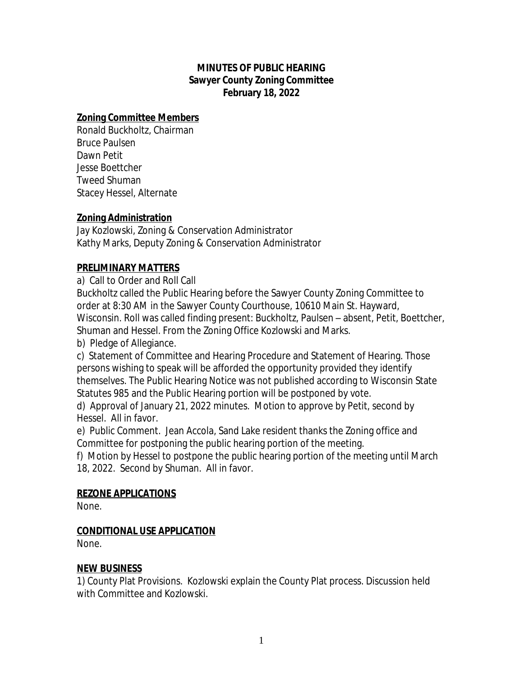# **MINUTES OF PUBLIC HEARING Sawyer County Zoning Committee February 18, 2022**

## **Zoning Committee Members**

Ronald Buckholtz, Chairman Bruce Paulsen Dawn Petit Jesse Boettcher Tweed Shuman Stacey Hessel, Alternate

# **Zoning Administration**

Jay Kozlowski, Zoning & Conservation Administrator Kathy Marks, Deputy Zoning & Conservation Administrator

# **PRELIMINARY MATTERS**

a) Call to Order and Roll Call

Buckholtz called the Public Hearing before the Sawyer County Zoning Committee to order at 8:30 AM in the Sawyer County Courthouse, 10610 Main St. Hayward, Wisconsin. Roll was called finding present: Buckholtz, Paulsen – absent, Petit, Boettcher, Shuman and Hessel. From the Zoning Office Kozlowski and Marks.

b) Pledge of Allegiance.

c) Statement of Committee and Hearing Procedure and Statement of Hearing. Those persons wishing to speak will be afforded the opportunity provided they identify themselves. The Public Hearing Notice was not published according to Wisconsin State Statutes 985 and the Public Hearing portion will be postponed by vote.

d) Approval of January 21, 2022 minutes. Motion to approve by Petit, second by Hessel. All in favor.

e) Public Comment. Jean Accola, Sand Lake resident thanks the Zoning office and Committee for postponing the public hearing portion of the meeting.

f) Motion by Hessel to postpone the public hearing portion of the meeting until March 18, 2022. Second by Shuman. All in favor.

### **REZONE APPLICATIONS**

None.

# **CONDITIONAL USE APPLICATION**

None.

# **NEW BUSINESS**

1) County Plat Provisions. Kozlowski explain the County Plat process. Discussion held with Committee and Kozlowski.